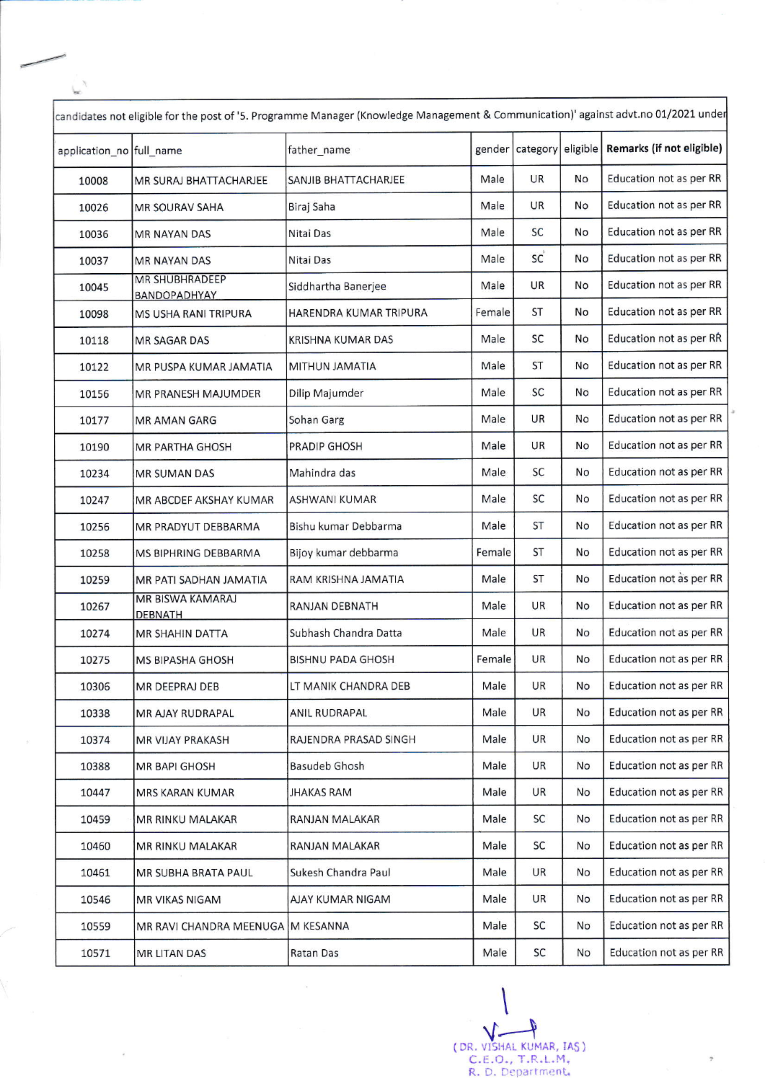| candidates not eligible for the post of '5. Programme Manager (Knowledge Management & Communication)' against advt.no 01/2021 under |                                           |                             |        |           |          |                           |  |  |  |
|-------------------------------------------------------------------------------------------------------------------------------------|-------------------------------------------|-----------------------------|--------|-----------|----------|---------------------------|--|--|--|
| application_no full_name                                                                                                            |                                           | father_name                 | gender | category  | eligible | Remarks (if not eligible) |  |  |  |
| 10008                                                                                                                               | MR SURAJ BHATTACHARJEE                    | <b>SANJIB BHATTACHARJEE</b> | Male   | <b>UR</b> | No       | Education not as per RR   |  |  |  |
| 10026                                                                                                                               | <b>MR SOURAV SAHA</b>                     | Biraj Saha                  | Male   | <b>UR</b> | No       | Education not as per RR   |  |  |  |
| 10036                                                                                                                               | <b>MR NAYAN DAS</b>                       | Nitai Das                   | Male   | <b>SC</b> | No       | Education not as per RR   |  |  |  |
| 10037                                                                                                                               | <b>MR NAYAN DAS</b>                       | Nitai Das                   | Male   | SC        | No       | Education not as per RR   |  |  |  |
| 10045                                                                                                                               | <b>MR SHUBHRADEEP</b><br>BANDOPADHYAY     | Siddhartha Banerjee         | Male   | UR        | No       | Education not as per RR   |  |  |  |
| 10098                                                                                                                               | MS USHA RANI TRIPURA                      | HARENDRA KUMAR TRIPURA      | Female | <b>ST</b> | No       | Education not as per RR   |  |  |  |
| 10118                                                                                                                               | <b>MR SAGAR DAS</b>                       | KRISHNA KUMAR DAS           | Male   | <b>SC</b> | No       | Education not as per RR   |  |  |  |
| 10122                                                                                                                               | MR PUSPA KUMAR JAMATIA                    | MITHUN JAMATIA              | Male   | ST        | No       | Education not as per RR   |  |  |  |
| 10156                                                                                                                               | MR PRANESH MAJUMDER                       | Dilip Majumder              | Male   | SC        | No       | Education not as per RR   |  |  |  |
| 10177                                                                                                                               | <b>MR AMAN GARG</b>                       | Sohan Garg                  | Male   | UR        | No       | Education not as per RR   |  |  |  |
| 10190                                                                                                                               | MR PARTHA GHOSH                           | PRADIP GHOSH                | Male   | UR        | No       | Education not as per RR   |  |  |  |
| 10234                                                                                                                               | <b>MR SUMAN DAS</b>                       | Mahindra das                | Male   | SC        | No       | Education not as per RR   |  |  |  |
| 10247                                                                                                                               | MR ABCDEF AKSHAY KUMAR                    | ASHWANI KUMAR               | Male   | SC        | No       | Education not as per RR   |  |  |  |
| 10256                                                                                                                               | MR PRADYUT DEBBARMA                       | Bishu kumar Debbarma        | Male   | <b>ST</b> | No       | Education not as per RR   |  |  |  |
| 10258                                                                                                                               | MS BIPHRING DEBBARMA                      | Bijoy kumar debbarma        | Female | <b>ST</b> | No       | Education not as per RR   |  |  |  |
| 10259                                                                                                                               | MR PATI SADHAN JAMATIA                    | RAM KRISHNA JAMATIA         | Male   | <b>ST</b> | No       | Education not as per RR   |  |  |  |
| 10267                                                                                                                               | <b>MR BISWA KAMARAJ</b><br><b>DEBNATH</b> | <b>RANJAN DEBNATH</b>       | Male   | <b>UR</b> | No       | Education not as per RR   |  |  |  |
| 10274                                                                                                                               | <b>MR SHAHIN DATTA</b>                    | Subhash Chandra Datta       | Male   | <b>UR</b> | No       | Education not as per RR   |  |  |  |
| 10275                                                                                                                               | <b>MS BIPASHA GHOSH</b>                   | <b>BISHNU PADA GHOSH</b>    | Female | <b>UR</b> | No       | Education not as per RR   |  |  |  |
| 10306                                                                                                                               | MR DEEPRAJ DEB                            | LT MANIK CHANDRA DEB        | Male   | UR        | No       | Education not as per RR   |  |  |  |
| 10338                                                                                                                               | MR AJAY RUDRAPAL                          | <b>ANIL RUDRAPAL</b>        | Male   | <b>UR</b> | No       | Education not as per RR   |  |  |  |
| 10374                                                                                                                               | MR VIJAY PRAKASH                          | RAJENDRA PRASAD SINGH       | Male   | <b>UR</b> | No       | Education not as per RR   |  |  |  |
| 10388                                                                                                                               | MR BAPI GHOSH                             | Basudeb Ghosh               | Male   | <b>UR</b> | No       | Education not as per RR   |  |  |  |
| 10447                                                                                                                               | MRS KARAN KUMAR                           | <b>JHAKAS RAM</b>           | Male   | <b>UR</b> | No       | Education not as per RR   |  |  |  |
| 10459                                                                                                                               | MR RINKU MALAKAR                          | RANJAN MALAKAR              | Male   | <b>SC</b> | No       | Education not as per RR   |  |  |  |
| 10460                                                                                                                               | <b>MR RINKU MALAKAR</b>                   | RANJAN MALAKAR              | Male   | SC        | No       | Education not as per RR   |  |  |  |
| 10461                                                                                                                               | MR SUBHA BRATA PAUL                       | Sukesh Chandra Paul         | Male   | UR.       | No       | Education not as per RR   |  |  |  |
| 10546                                                                                                                               | MR VIKAS NIGAM                            | AJAY KUMAR NIGAM            | Male   | <b>UR</b> | No       | Education not as per RR   |  |  |  |
| 10559                                                                                                                               | MR RAVI CHANDRA MEENUGA M KESANNA         |                             | Male   | SC        | No       | Education not as per RR   |  |  |  |
| 10571                                                                                                                               | MR LITAN DAS                              | Ratan Das                   | Male   | SC        | No       | Education not as per RR   |  |  |  |

f

\ t ( V.-+ DR. VISITAL KUMAR, IAS ) c.E.o., T.R.L.M, R. D. Department